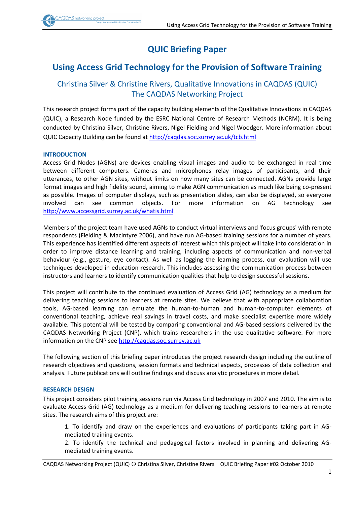# **QUIC Briefing Paper**

## **Using Access Grid Technology for the Provision of Software Training**

## Christina Silver & Christine Rivers, Qualitative Innovations in CAQDAS (QUIC) The CAQDAS Networking Project

This research project forms part of the capacity building elements of the Qualitative Innovations in CAQDAS (QUIC), a Research Node funded by the ESRC National Centre of Research Methods (NCRM). It is being conducted by Christina Silver, Christine Rivers, Nigel Fielding and Nigel Woodger. More information about QUIC Capacity Building can be found at<http://caqdas.soc.surrey.ac.uk/tcb.html>

## **INTRODUCTION**

Access Grid Nodes (AGNs) are devices enabling visual images and audio to be exchanged in real time between different computers. Cameras and microphones relay images of participants, and their utterances, to other AGN sites, without limits on how many sites can be connected. AGNs provide large format images and high fidelity sound, aiming to make AGN communication as much like being co-present as possible. Images of computer displays, such as presentation slides, can also be displayed, so everyone involved can see common objects. For more information on AG technology see <http://www.accessgrid.surrey.ac.uk/whatis.html>

Members of the project team have used AGNs to conduct virtual interviews and 'focus groups' with remote respondents (Fielding & Macintyre 2006), and have run AG-based training sessions for a number of years. This experience has identified different aspects of interest which this project will take into consideration in order to improve distance learning and training, including aspects of communication and non-verbal behaviour (e.g., gesture, eye contact). As well as logging the learning process, our evaluation will use techniques developed in education research. This includes assessing the communication process between instructors and learners to identify communication qualities that help to design successful sessions.

This project will contribute to the continued evaluation of Access Grid (AG) technology as a medium for delivering teaching sessions to learners at remote sites. We believe that with appropriate collaboration tools, AG-based learning can emulate the human-to-human and human-to-computer elements of conventional teaching, achieve real savings in travel costs, and make specialist expertise more widely available. This potential will be tested by comparing conventional and AG-based sessions delivered by the CAQDAS Networking Project (CNP), which trains researchers in the use qualitative software. For more information on the CNP see [http://caqdas.soc.surrey.ac.uk](http://caqdas.soc.surrey.ac.uk/)

The following section of this briefing paper introduces the project research design including the outline of research objectives and questions, session formats and technical aspects, processes of data collection and analysis. Future publications will outline findings and discuss analytic procedures in more detail.

## **RESEARCH DESIGN**

This project considers pilot training sessions run via Access Grid technology in 2007 and 2010. The aim is to evaluate Access Grid (AG) technology as a medium for delivering teaching sessions to learners at remote sites. The research aims of this project are:

1. To identify and draw on the experiences and evaluations of participants taking part in AGmediated training events.

2. To identify the technical and pedagogical factors involved in planning and delivering AGmediated training events.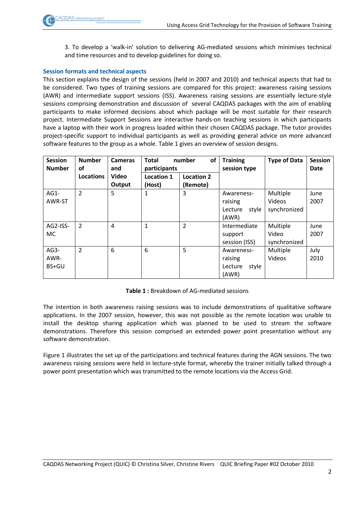3. To develop a 'walk-in' solution to delivering AG-mediated sessions which minimises technical and time resources and to develop guidelines for doing so.

## **Session formats and technical aspects**

This section explains the design of the sessions (held in 2007 and 2010) and technical aspects that had to be considered. Two types of training sessions are compared for this project: awareness raising sessions (AWR) and intermediate support sessions (ISS). Awareness raising sessions are essentially lecture-style sessions comprising demonstration and discussion of several CAQDAS packages with the aim of enabling participants to make informed decisions about which package will be most suitable for their research project. Intermediate Support Sessions are interactive hands-on teaching sessions in which participants have a laptop with their work in progress loaded within their chosen CAQDAS package. The tutor provides project-specific support to individual participants as well as providing general advice on more advanced software features to the group as a whole. Table 1 gives an overview of session designs.

| <b>Session</b><br><b>Number</b> | <b>Number</b><br>οf | <b>Cameras</b><br>and | of<br><b>Total</b><br>number<br>participants |                   | <b>Training</b><br>session type | <b>Type of Data</b> | Session<br><b>Date</b> |
|---------------------------------|---------------------|-----------------------|----------------------------------------------|-------------------|---------------------------------|---------------------|------------------------|
|                                 | <b>Locations</b>    | <b>Video</b>          | <b>Location 1</b>                            | <b>Location 2</b> |                                 |                     |                        |
|                                 |                     | Output                | (Host)                                       | (Remote)          |                                 |                     |                        |
| $AG1-$                          | $\overline{2}$      | 5                     | $\mathbf{1}$                                 | 3                 | Awareness-                      | Multiple            | June                   |
| AWR-ST                          |                     |                       |                                              |                   | raising                         | Videos              | 2007                   |
|                                 |                     |                       |                                              |                   | Lecture<br>style                | synchronized        |                        |
|                                 |                     |                       |                                              |                   | (AWR)                           |                     |                        |
| AG2-ISS-                        | $\overline{2}$      | 4                     | 1                                            | $\overline{2}$    | Intermediate                    | Multiple            | June                   |
| <b>MC</b>                       |                     |                       |                                              |                   | support                         | Video               | 2007                   |
|                                 |                     |                       |                                              |                   | session (ISS)                   | synchronized        |                        |
| $AG3-$                          | $\overline{2}$      | 6                     | 6                                            | 5                 | Awareness-                      | Multiple            | July                   |
| AWR-                            |                     |                       |                                              |                   | raising                         | Videos              | 2010                   |
| BS+GU                           |                     |                       |                                              |                   | Lecture<br>style                |                     |                        |
|                                 |                     |                       |                                              |                   | (AWR)                           |                     |                        |

## **Table 1 :** Breakdown of AG-mediated sessions

The intention in both awareness raising sessions was to include demonstrations of qualitative software applications. In the 2007 session, however, this was not possible as the remote location was unable to install the desktop sharing application which was planned to be used to stream the software demonstrations. Therefore this session comprised an extended power point presentation without any software demonstration.

Figure 1 illustrates the set up of the participations and technical features during the AGN sessions. The two awareness raising sessions were held in lecture-style format, whereby the trainer initially talked through a power point presentation which was transmitted to the remote locations via the Access Grid.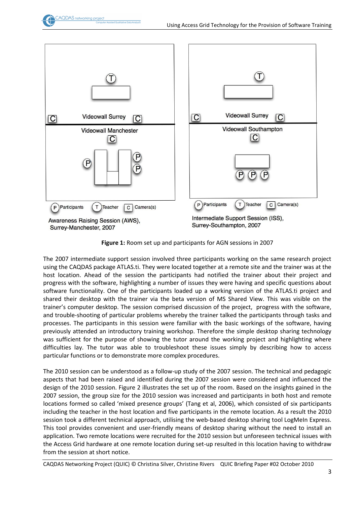

**Figure 1:** Room set up and participants for AGN sessions in 2007

The 2007 intermediate support session involved three participants working on the same research project using the CAQDAS package ATLAS.ti. They were located together at a remote site and the trainer was at the host location. Ahead of the session the participants had notified the trainer about their project and progress with the software, highlighting a number of issues they were having and specific questions about software functionality. One of the participants loaded up a working version of the ATLAS.ti project and shared their desktop with the trainer via the beta version of MS Shared View. This was visible on the trainer's computer desktop. The session comprised discussion of the project, progress with the software, and trouble-shooting of particular problems whereby the trainer talked the participants through tasks and processes. The participants in this session were familiar with the basic workings of the software, having previously attended an introductory training workshop. Therefore the simple desktop sharing technology was sufficient for the purpose of showing the tutor around the working project and highlighting where difficulties lay. The tutor was able to troubleshoot these issues simply by describing how to access particular functions or to demonstrate more complex procedures.

The 2010 session can be understood as a follow-up study of the 2007 session. The technical and pedagogic aspects that had been raised and identified during the 2007 session were considered and influenced the design of the 2010 session. Figure 2 illustrates the set up of the room. Based on the insights gained in the 2007 session, the group size for the 2010 session was increased and participants in both host and remote locations formed so called 'mixed presence groups' (Tang et al, 2006), which consisted of six participants including the teacher in the host location and five participants in the remote location. As a result the 2010 session took a different technical approach, utilising the web-based desktop sharing tool LogMeIn Express. This tool provides convenient and user-friendly means of desktop sharing without the need to install an application. Two remote locations were recruited for the 2010 session but unforeseen technical issues with the Access Grid hardware at one remote location during set-up resulted in this location having to withdraw from the session at short notice.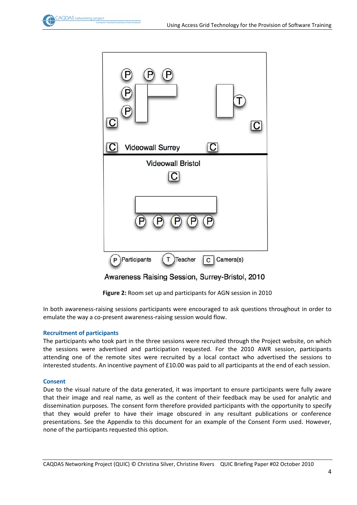



Awareness Raising Session, Surrey-Bristol, 2010

**Figure 2:** Room set up and participants for AGN session in 2010

In both awareness-raising sessions participants were encouraged to ask questions throughout in order to emulate the way a co-present awareness-raising session would flow.

## **Recruitment of participants**

The participants who took part in the three sessions were recruited through the Project website, on which the sessions were advertised and participation requested. For the 2010 AWR session, participants attending one of the remote sites were recruited by a local contact who advertised the sessions to interested students. An incentive payment of £10.00 was paid to all participants at the end of each session.

## **Consent**

Due to the visual nature of the data generated, it was important to ensure participants were fully aware that their image and real name, as well as the content of their feedback may be used for analytic and dissemination purposes. The consent form therefore provided participants with the opportunity to specify that they would prefer to have their image obscured in any resultant publications or conference presentations. See the Appendix to this document for an example of the Consent Form used. However, none of the participants requested this option.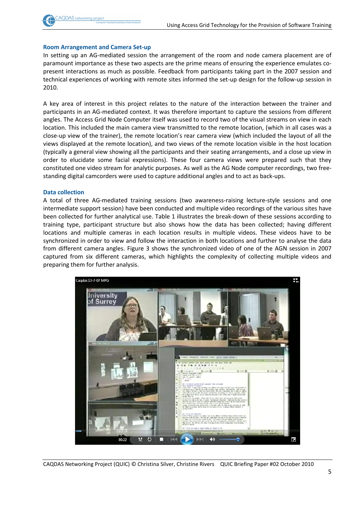#### **Room Arrangement and Camera Set-up**

In setting up an AG-mediated session the arrangement of the room and node camera placement are of paramount importance as these two aspects are the prime means of ensuring the experience emulates copresent interactions as much as possible. Feedback from participants taking part in the 2007 session and technical experiences of working with remote sites informed the set-up design for the follow-up session in 2010.

A key area of interest in this project relates to the nature of the interaction between the trainer and participants in an AG-mediated context. It was therefore important to capture the sessions from different angles. The Access Grid Node Computer itself was used to record two of the visual streams on view in each location. This included the main camera view transmitted to the remote location, (which in all cases was a close-up view of the trainer), the remote location's rear camera view (which included the layout of all the views displayed at the remote location), and two views of the remote location visible in the host location (typically a general view showing all the participants and their seating arrangements, and a close up view in order to elucidate some facial expressions). These four camera views were prepared such that they constituted one video stream for analytic purposes. As well as the AG Node computer recordings, two freestanding digital camcorders were used to capture additional angles and to act as back-ups.

#### **Data collection**

A total of three AG-mediated training sessions (two awareness-raising lecture-style sessions and one intermediate support session) have been conducted and multiple video recordings of the various sites have been collected for further analytical use. Table 1 illustrates the break-down of these sessions according to training type, participant structure but also shows how the data has been collected; having different locations and multiple cameras in each location results in multiple videos. These videos have to be synchronized in order to view and follow the interaction in both locations and further to analyse the data from different camera angles. Figure 3 shows the synchronized video of one of the AGN session in 2007 captured from six different cameras, which highlights the complexity of collecting multiple videos and preparing them for further analysis.

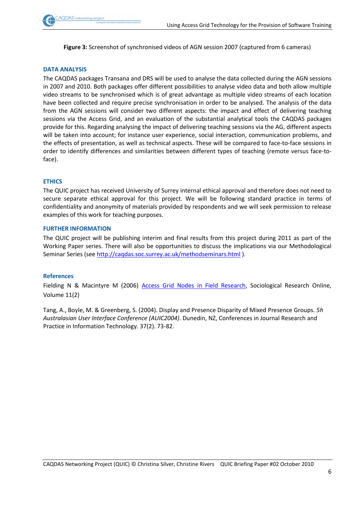**Figure 3:** Screenshot of synchronised videos of AGN session 2007 (captured from 6 cameras)

## **DATA ANALYSIS**

The CAQDAS packages Transana and DRS will be used to analyse the data collected during the AGN sessions in 2007 and 2010. Both packages offer different possibilities to analyse video data and both allow multiple video streams to be synchronised which is of great advantage as multiple video streams of each location have been collected and require precise synchronisation in order to be analysed. The analysis of the data from the AGN sessions will consider two different aspects: the impact and effect of delivering teaching sessions via the Access Grid, and an evaluation of the substantial analytical tools the CAQDAS packages provide for this. Regarding analysing the impact of delivering teaching sessions via the AG, different aspects will be taken into account; for instance user experience, social interaction, communication problems, and the effects of presentation, as well as technical aspects. These will be compared to face-to-face sessions in order to identify differences and similarities between different types of teaching (remote versus face-toface).

## **ETHICS**

The QUIC project has received University of Surrey internal ethical approval and therefore does not need to secure separate ethical approval for this project. We will be following standard practice in terms of confidentiality and anonymity of materials provided by respondents and we will seek permission to release examples of this work for teaching purposes.

## **FURTHER INFORMATION**

The QUIC project will be publishing interim and final results from this project during 2011 as part of the Working Paper series. There will also be opportunities to discuss the implications via our Methodological Seminar Series (se[e http://caqdas.soc.surrey.ac.uk/methodseminars.html](http://caqdas.soc.surrey.ac.uk/methodseminars.html)).

## **References**

Fielding N & Macintyre M (2006) [Access Grid Nodes in Field Research,](http://www.socresonline.org.uk/11/2/fielding.html) Sociological Research Online, Volume 11(2)

Tang, A., Boyle, M. & Greenberg, S. (2004). Display and Presence Disparity of Mixed Presence Groups. *5h Australasian User Interface Conference (AUIC2004)*. Dunedin, NZ, Conferences in Journal Research and Practice in Information Technology. 37(2). 73-82.